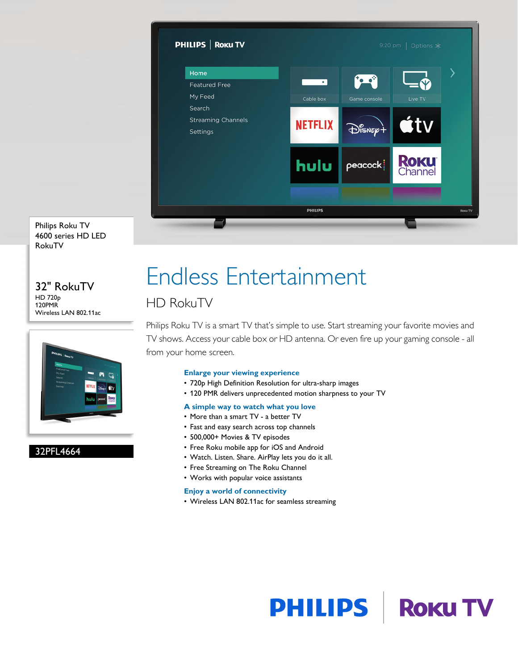

Philips Roku TV 4600 series HD LED RokuTV

#### 32" RokuTV HD 720p 120PMR Wireless LAN 802.11ac



### 32PFL4664

# Endless Entertainment

### HD RokuTV

Philips Roku TV is a smart TV that's simple to use. Start streaming your favorite movies and TV shows. Access your cable box or HD antenna. Or even fire up your gaming console - all from your home screen.

#### **Enlarge your viewing experience**

- 720p High Definition Resolution for ultra-sharp images
- 120 PMR delivers unprecedented motion sharpness to your TV

### **A simple way to watch what you love**

- More than a smart TV a better TV
- Fast and easy search across top channels
- 500,000+ Movies & TV episodes
- Free Roku mobile app for iOS and Android
- Watch. Listen. Share. AirPlay lets you do it all.
- Free Streaming on The Roku Channel
- Works with popular voice assistants

### **Enjoy a world of connectivity**

• Wireless LAN 802.11ac for seamless streaming

# **PHILIPS | ROKUTV**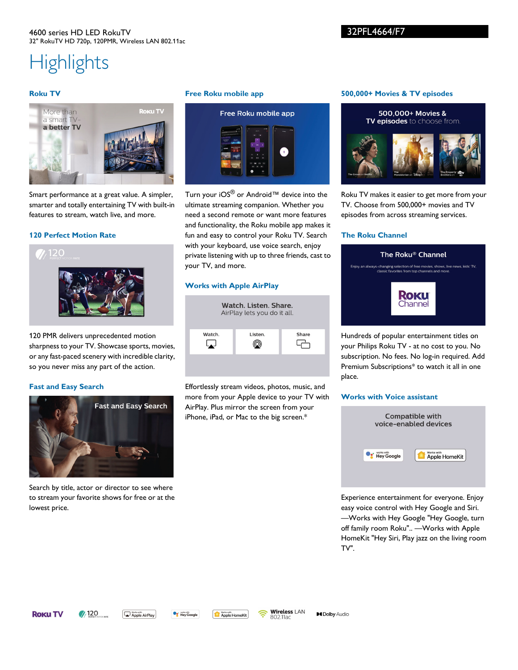#### 4600 series HD LED RokuTV 32" RokuTV HD 720p, 120PMR, Wireless LAN 802.11ac

## **Highlights**

#### **Roku TV**



Smart performance at a great value. A simpler, smarter and totally entertaining TV with built-in features to stream, watch live, and more.

#### **120 Perfect Motion Rate**



120 PMR delivers unprecedented motion sharpness to your TV. Showcase sports, movies, or any fast-paced scenery with incredible clarity, so you never miss any part of the action.

#### **Fast and Easy Search**



Search by title, actor or director to see where to stream your favorite shows for free or at the lowest price.

#### **Free Roku mobile app**



Turn your iOS<sup>®</sup> or Android™ device into the ultimate streaming companion. Whether you need a second remote or want more features and functionality, the Roku mobile app makes it fun and easy to control your Roku TV. Search with your keyboard, use voice search, enjoy private listening with up to three friends, cast to your TV, and more.

#### **Works with Apple AirPlay**



Effortlessly stream videos, photos, music, and more from your Apple device to your TV with AirPlay. Plus mirror the screen from your iPhone, iPad, or Mac to the big screen.\*

#### **500,000+ Movies & TV episodes**



Roku TV makes it easier to get more from your TV. Choose from 500,000+ movies and TV episodes from across streaming services.

#### **The Roku Channel**



Hundreds of popular entertainment titles on your Philips Roku TV - at no cost to you. No subscription. No fees. No log-in required. Add Premium Subscriptions\* to watch it all in one place.

#### **Works with Voice assistant**



Experience entertainment for everyone. Enjoy easy voice control with Hey Google and Siri. —Works with Hey Google "Hey Google, turn off family room Roku".. —Works with Apple HomeKit "Hey Siri, Play jazz on the living room TV".

**ROKUTV** 

Apple AirPlay

**Og** Morks with Apple HomeKit

**Wireless LAN** ຣ 802.11ac

**MDolby Audio**